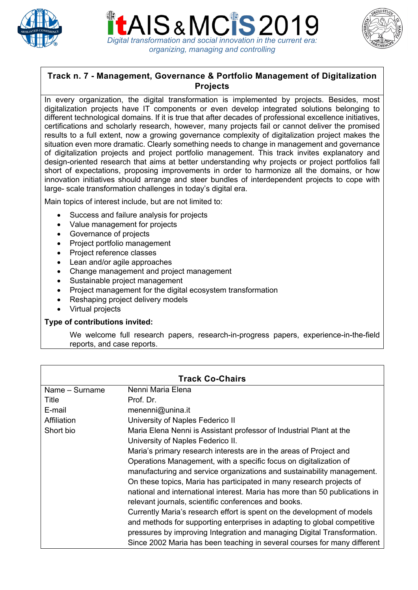





## **Track n. 7 - Management, Governance & Portfolio Management of Digitalization Projects**

In every organization, the digital transformation is implemented by projects. Besides, most digitalization projects have IT components or even develop integrated solutions belonging to different technological domains. If it is true that after decades of professional excellence initiatives, certifications and scholarly research, however, many projects fail or cannot deliver the promised results to a full extent, now a growing governance complexity of digitalization project makes the situation even more dramatic. Clearly something needs to change in management and governance of digitalization projects and project portfolio management. This track invites explanatory and design-oriented research that aims at better understanding why projects or project portfolios fall short of expectations, proposing improvements in order to harmonize all the domains, or how innovation initiatives should arrange and steer bundles of interdependent projects to cope with large- scale transformation challenges in today's digital era.

Main topics of interest include, but are not limited to:

- Success and failure analysis for projects
- Value management for projects
- Governance of projects
- Project portfolio management
- Project reference classes
- Lean and/or agile approaches
- Change management and project management
- Sustainable project management
- Project management for the digital ecosystem transformation
- Reshaping project delivery models
- Virtual projects

## **Type of contributions invited:**

We welcome full research papers, research-in-progress papers, experience-in-the-field reports, and case reports.

| <b>Track Co-Chairs</b> |                                                                             |
|------------------------|-----------------------------------------------------------------------------|
| Name - Surname         | Nenni Maria Elena                                                           |
| Title                  | Prof. Dr.                                                                   |
| E-mail                 | menenni@unina.it                                                            |
| Affiliation            | University of Naples Federico II                                            |
| Short bio              | Maria Elena Nenni is Assistant professor of Industrial Plant at the         |
|                        | University of Naples Federico II.                                           |
|                        | Maria's primary research interests are in the areas of Project and          |
|                        | Operations Management, with a specific focus on digitalization of           |
|                        | manufacturing and service organizations and sustainability management.      |
|                        | On these topics, Maria has participated in many research projects of        |
|                        | national and international interest. Maria has more than 50 publications in |
|                        | relevant journals, scientific conferences and books.                        |
|                        | Currently Maria's research effort is spent on the development of models     |
|                        | and methods for supporting enterprises in adapting to global competitive    |
|                        | pressures by improving Integration and managing Digital Transformation.     |
|                        | Since 2002 Maria has been teaching in several courses for many different    |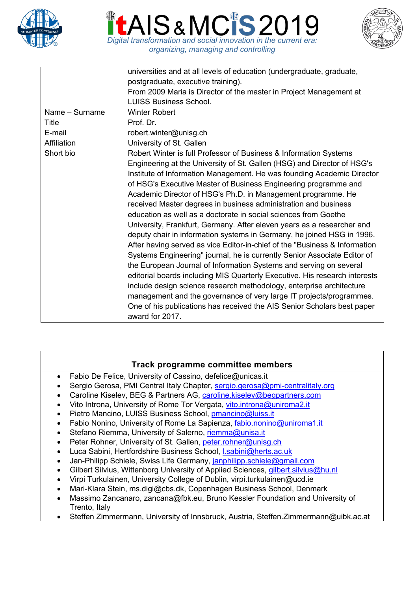





|                | universities and at all levels of education (undergraduate, graduate,<br>postgraduate, executive training).<br>From 2009 Maria is Director of the master in Project Management at<br><b>LUISS Business School.</b>                                                                                                                                                                                                                                                                                                                                                                                                                                                                                                                                                                                                                                                                                                                                                                                                                                                                                                                                                                                              |
|----------------|-----------------------------------------------------------------------------------------------------------------------------------------------------------------------------------------------------------------------------------------------------------------------------------------------------------------------------------------------------------------------------------------------------------------------------------------------------------------------------------------------------------------------------------------------------------------------------------------------------------------------------------------------------------------------------------------------------------------------------------------------------------------------------------------------------------------------------------------------------------------------------------------------------------------------------------------------------------------------------------------------------------------------------------------------------------------------------------------------------------------------------------------------------------------------------------------------------------------|
| Name - Surname | <b>Winter Robert</b>                                                                                                                                                                                                                                                                                                                                                                                                                                                                                                                                                                                                                                                                                                                                                                                                                                                                                                                                                                                                                                                                                                                                                                                            |
| <b>Title</b>   | Prof. Dr.                                                                                                                                                                                                                                                                                                                                                                                                                                                                                                                                                                                                                                                                                                                                                                                                                                                                                                                                                                                                                                                                                                                                                                                                       |
| E-mail         | robert.winter@unisg.ch                                                                                                                                                                                                                                                                                                                                                                                                                                                                                                                                                                                                                                                                                                                                                                                                                                                                                                                                                                                                                                                                                                                                                                                          |
| Affiliation    | University of St. Gallen                                                                                                                                                                                                                                                                                                                                                                                                                                                                                                                                                                                                                                                                                                                                                                                                                                                                                                                                                                                                                                                                                                                                                                                        |
| Short bio      | Robert Winter is full Professor of Business & Information Systems<br>Engineering at the University of St. Gallen (HSG) and Director of HSG's<br>Institute of Information Management. He was founding Academic Director<br>of HSG's Executive Master of Business Engineering programme and<br>Academic Director of HSG's Ph.D. in Management programme. He<br>received Master degrees in business administration and business<br>education as well as a doctorate in social sciences from Goethe<br>University, Frankfurt, Germany. After eleven years as a researcher and<br>deputy chair in information systems in Germany, he joined HSG in 1996.<br>After having served as vice Editor-in-chief of the "Business & Information"<br>Systems Engineering" journal, he is currently Senior Associate Editor of<br>the European Journal of Information Systems and serving on several<br>editorial boards including MIS Quarterly Executive. His research interests<br>include design science research methodology, enterprise architecture<br>management and the governance of very large IT projects/programmes.<br>One of his publications has received the AIS Senior Scholars best paper<br>award for 2017. |

## **Track programme committee members**

- Fabio De Felice, University of Cassino, defelice@unicas.it
- Sergio Gerosa, PMI Central Italy Chapter, sergio.gerosa@pmi-centralitaly.org
- Caroline Kiselev, BEG & Partners AG, caroline.kiselev@begpartners.com
- Vito Introna, University of Rome Tor Vergata, vito.introna@uniroma2.it
- Pietro Mancino, LUISS Business School, pmancino@luiss.it
- Fabio Nonino, University of Rome La Sapienza, fabio.nonino@uniroma1.it
- Stefano Riemma, University of Salerno, riemma@unisa.it
- Peter Rohner, University of St. Gallen, peter.rohner@unisg.ch
- Luca Sabini, Hertfordshire Business School, l.sabini@herts.ac.uk
- Jan-Philipp Schiele, Swiss Life Germany, janphilipp.schiele@gmail.com
- Gilbert Silvius, Wittenborg University of Applied Sciences, gilbert.silvius@hu.nl
- Virpi Turkulainen, University College of Dublin, virpi.turkulainen@ucd.ie
- Mari-Klara Stein, ms.digi@cbs.dk, Copenhagen Business School, Denmark
- Massimo Zancanaro, zancana@fbk.eu, Bruno Kessler Foundation and University of Trento, Italy
- Steffen Zimmermann, University of Innsbruck, Austria, Steffen.Zimmermann@uibk.ac.at